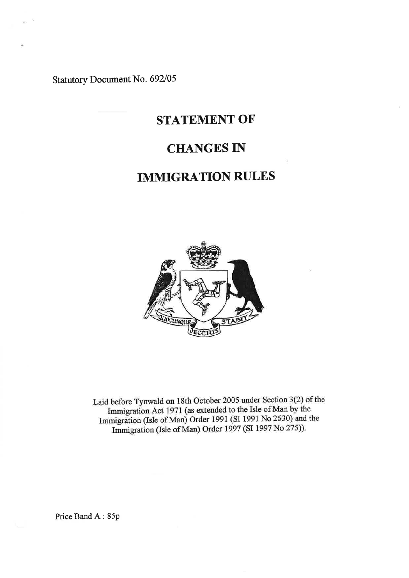Statutory Document No. 692/05

# STATEMENT OF

## CHANGES IN

# IMMIGRATION RULES



Laid before Tynwald on 18th October 2005 under Section 3(2) of the Immigration Act 1971 (as extended to the Isle of Man by the Immigration (Isle of Man) Order 1991 (SI 1991 No 2630) and the Immigration (Isle of Man) Order 1997 (SI 1997 No 275)).

Price Band A: 85p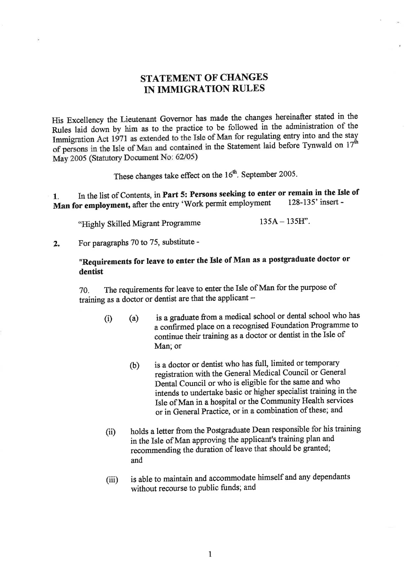## **STATEMENT OF CHANGES** IN IMMIGRATION RULES

His Excellency the Lieutenant Governor has made the changes hereinafter stated in the Rules laid down by him as to the practice to be followed in the administration of the Immigration Act 1971 as extended to the Isle of Man for regulating entry into and the stay of persons in the Isle of Man and contained in the Statement laid before Tynwald on  $17^{\text{th}}$ May 2005 (Statutory Document No: 62/05)

These changes take effect on the 16<sup>th</sup>. September 2005.

In the list of Contents, in Part 5: Persons seeking to enter or remain in the Isle of  $\mathbf{1}$ . Man for employment, after the entry 'Work permit employment 128-135' insert -

 $135A - 135H$ ". "Highly Skilled Migrant Programme

For paragraphs 70 to 75, substitute - $2.$ 

## "Requirements for leave to enter the Isle of Man as a postgraduate doctor or dentist

The requirements for leave to enter the Isle of Man for the purpose of 70. training as a doctor or dentist are that the applicant -

- is a graduate from a medical school or dental school who has  $(i)$  $(a)$ a confirmed place on a recognised Foundation Programme to continue their training as a doctor or dentist in the Isle of Man; or
	- is a doctor or dentist who has full, limited or temporary  $(b)$ registration with the General Medical Council or General Dental Council or who is eligible for the same and who intends to undertake basic or higher specialist training in the Isle of Man in a hospital or the Community Health services or in General Practice, or in a combination of these; and
- holds a letter from the Postgraduate Dean responsible for his training  $(ii)$ in the Isle of Man approving the applicant's training plan and recommending the duration of leave that should be granted; and
- is able to maintain and accommodate himself and any dependants  $(iii)$ without recourse to public funds; and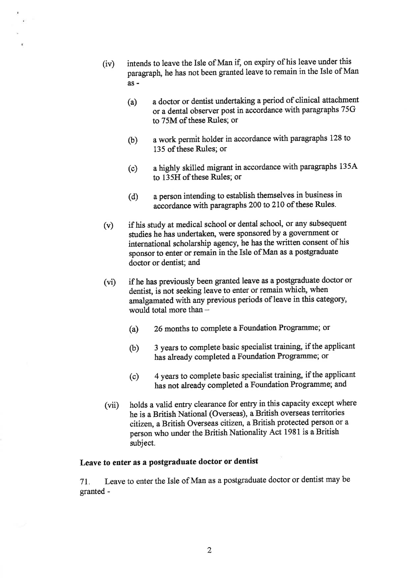- (iv) intends to leave the Isle of Man if, on expiry of his leave under this pangraph, he has not been granted leave to remain in the Isle of Man as-
	- (a) a doctor or dentist undertaking a period of clinical attachment or a dental observer post in accordance with paragraphs 75G to 75M of these Rules; or
	- (b) a work permit holder in accordance with paragraphs I28 to 135 of these Rules; or
	- (c) a highly skilled migrant in accordance with paragraphs <sup>1354</sup> to 135H of these Rules; or
	- (d) a person intending to establish themselves in business in accordance with paragraphs 200 to 210 of these Rules.
- $(v)$ if his study at medical school or dental school, or any subsequent studies he has undertaken, were sponsored by a government or international scholarship agency, he has the written consent of his sponsor to enter or remain in the Isle of Man as a postgraduate doctor or dentist; and
- $(vi)$ if he has previously been granted leave as a postgraduate doctor or dentist, is not seeking leave to enter or remain which, when amalgamated with any previous periods of leave in this category, would total more than  $-$ 
	- (a) 26 months to complete a Foundation Programme; or
	- 3 years to complete basic specialist training, if the applicant has already completed a Foundation Programme; or (b)
	- 4 years to complete basic specialist training, if the applicant has not already completed a Foundation Programme; and (c)
- holds a valid entry clearance for entry in this capacity except where he is a British National (Overseas), a British overseas territories citizen, a British Overseas citizen, a British protected person or a person who under the British Nationality Act 1981 is a British subject.  $(vii)$

### Leave to enter as a postgraduate doctor or dentist

71. Leave to enter the Isle of Man as a postgraduate doctor or dentist may be granted -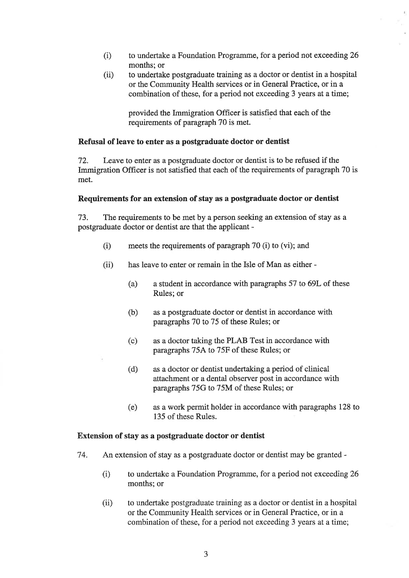- (i) to undertake a Foundation Programme, for a period not exceeding 26 months; or
- (ii) to undertake postgraduate training as a doctor or dentist in a hospital or the Community Health services or in General Practice, or in a combination of these, for a period not exceeding 3 years at a time;

provided the Immigration Officer is satisfred that each of the requirements of paragraph 70 is met.

#### Refusal of leave to enter as a postgraduate doctor or dentist

72. Leave to enter as a postgraduate doctor or dentist is to be refused if the Immigration Officer is not satisfied that each of the requirements of paragraph 70 is met.

#### Requirements for an extension of stay as a postgraduate doctor or dentist

73. The requirements to be met by a person seeking an extension of stay as <sup>a</sup> postgraduate doctor or dentist are that the applicant -

- meets the requirements of paragraph  $70$  (i) to (vi); and  $(i)$
- has leave to enter or remain in the Isle of Man as either  $(ii)$ 
	- (a) a student in accordance with paragraphs 57 to 69L of these Rules; or
	- (b) as a postgraduate doctor or dentist in accordance with paragraphs 70 to 75 of these Rules; or
	- (c) as a doctor taking the PLAB Test in accordance with paragraphs 754 to 75F of these Rules; or
	- (d) as a doctor or dentist undertaking a period of clinical attachment or a dental observer post in accordance with paragraphs 75G to 75M of these Rules; or
	- (e) as a work permit holder in accordance with paragraphs 128 to 135 of these Rules.

#### Extension of stay as a postgraduate doctor or dentist

- 74. An extension of stay as a postgraduate doctor or dentist may be granted
	- (i) to undertake a Foundation Programme, for a period not exceeding 26 months; or
	- (ii) to undertake postgraduate training as a doctor or dentist in a hospital or the Community Health seryices or in General Practice, or in a combination of these, for a period not exceeding 3 years at a time;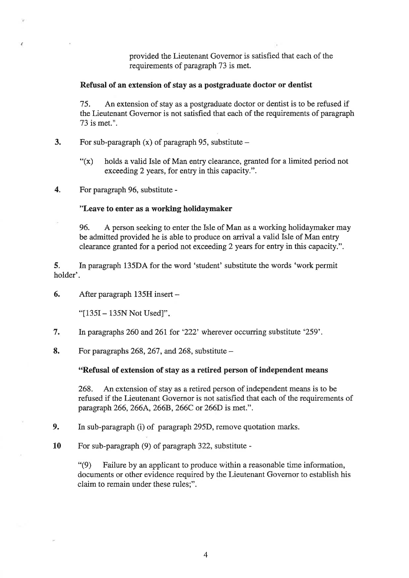provided the Lieutenant Governor is satisfied that each of the requirements of paragraph 73 is met.

#### Refusal of an extension of stay as a postgraduate doctor or dentist

15. An extension of stay as a postgraduate doctor or dentist is to be refused if the Lieutenant Governor is not satisfied that each of the requirements of paragraph 73 is met.".

- 3. For sub-paragraph  $(x)$  of paragraph 95, substitute
	- $f(x)$  holds a valid Isle of Man entry clearance, granted for a limited period not exceeding 2 years, for entry in this capacity.".
- 4. For paragraph 96, substitute -

'N.

#### "Leave to enter as a working holidaymaker

96. A person seeking to enter the Isle of Man as a working holidaymaker may be admitted provided he is able to produce on arival a valid Isle of Man entry clearance granted for a period not exceeding2 years for entry in this capacity.".

5. In paragraph 135D4 for the word 'student' substitute the words 'work permit holder'.

6, After paragraph 135H insert -

"[135I - 135N Not Used]".

- 7. In paragraphs 260 and 261 for '222' wherever occurring substitute '259'.
- 8. For paragraphs 268, 267, and 268, substitute  $-$

#### "Refusal of extension of stay as a retired person of independent means

268. An extension of stay as a retired person of independent means is to be refused if the Lieutenant Governor is not satisfied that each of the requirements of paragraph 266, 266A, 266B, 266C or 266D is met.".

9. In sub-paragraph (i) of paragraph 295D, remove quotation marks.

10 For sub-paragraph (9) of paragraph 322, substitute -

"(9) Failure by an applicant to produce within a reasonable time information, documents or other evidence required by the Lieutenant Governor to establish his claim to remain under these rules;".